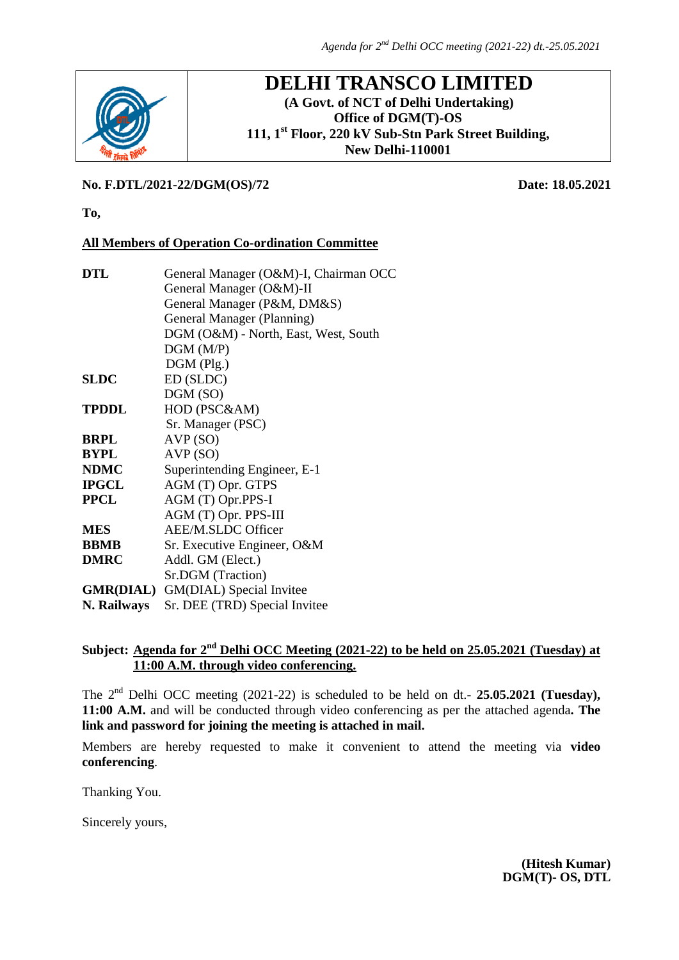

## **DELHI TRANSCO LIMITED (A Govt. of NCT of Delhi Undertaking) Office of DGM(T)-OS 111, 1st Floor, 220 kV Sub-Stn Park Street Building, New Delhi-110001**

### **No. F.DTL/2021-22/DGM(OS)/72 Date: 18.05.2021**

**To,**

### **All Members of Operation Co-ordination Committee**

| <b>DTL</b>   | General Manager (O&M)-I, Chairman OCC     |  |  |  |  |
|--------------|-------------------------------------------|--|--|--|--|
|              | General Manager (O&M)-II                  |  |  |  |  |
|              | General Manager (P&M, DM&S)               |  |  |  |  |
|              | General Manager (Planning)                |  |  |  |  |
|              | DGM (O&M) - North, East, West, South      |  |  |  |  |
|              | DGM(M/P)                                  |  |  |  |  |
|              | $DGM$ (Plg.)                              |  |  |  |  |
| <b>SLDC</b>  | ED (SLDC)                                 |  |  |  |  |
|              | DGM (SO)                                  |  |  |  |  |
| <b>TPDDL</b> | HOD (PSC&AM)                              |  |  |  |  |
|              | Sr. Manager (PSC)                         |  |  |  |  |
| <b>BRPL</b>  | AVP(SO)                                   |  |  |  |  |
| <b>BYPL</b>  | AVP(SO)                                   |  |  |  |  |
| <b>NDMC</b>  | Superintending Engineer, E-1              |  |  |  |  |
| <b>IPGCL</b> | AGM (T) Opr. GTPS                         |  |  |  |  |
| <b>PPCL</b>  | AGM (T) Opr.PPS-I                         |  |  |  |  |
|              | AGM (T) Opr. PPS-III                      |  |  |  |  |
| <b>MES</b>   | <b>AEE/M.SLDC Officer</b>                 |  |  |  |  |
| <b>BBMB</b>  | Sr. Executive Engineer, O&M               |  |  |  |  |
| <b>DMRC</b>  | Addl. GM (Elect.)                         |  |  |  |  |
|              | Sr.DGM (Traction)                         |  |  |  |  |
|              | <b>GMR(DIAL)</b> GM(DIAL) Special Invitee |  |  |  |  |
| N. Railways  | Sr. DEE (TRD) Special Invitee             |  |  |  |  |
|              |                                           |  |  |  |  |

# Subject: <u>Agenda for 2<sup>nd</sup> Delhi OCC Meeting (2021-22) to be held on 25.05.2021 (Tuesday) at</u> **11:00 A.M. through video conferencing.**

The 2<sup>nd</sup> Delhi OCC meeting (2021-22) is scheduled to be held on dt.- **25.05.2021 (Tuesday)**, **11:00 A.M.** and will be conducted through video conferencing as per the attached agenda**. The link and password for joining the meeting is attached in mail.**

Members are hereby requested to make it convenient to attend the meeting via **video conferencing**.

Thanking You.

Sincerely yours,

 **(Hitesh Kumar) DGM(T)- OS, DTL**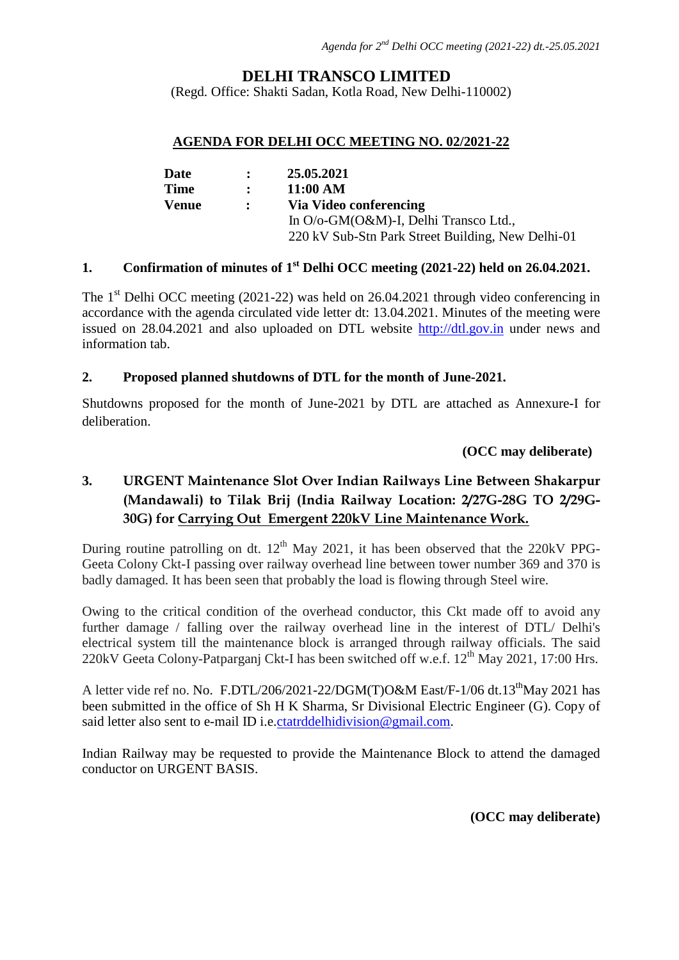## **DELHI TRANSCO LIMITED**

(Regd. Office: Shakti Sadan, Kotla Road, New Delhi-110002)

#### **AGENDA FOR DELHI OCC MEETING NO. 02/2021-22**

| Date         | $\mathbf{r}$ | 25.05.2021                                        |
|--------------|--------------|---------------------------------------------------|
| <b>Time</b>  | $\mathbf{r}$ | 11:00 AM                                          |
| <b>Venue</b> | $\mathbf{r}$ | Via Video conferencing                            |
|              |              | In O/o-GM(O&M)-I, Delhi Transco Ltd.,             |
|              |              | 220 kV Sub-Stn Park Street Building, New Delhi-01 |

## **1. Confirmation of minutes of 1st Delhi OCC meeting (2021-22) held on 26.04.2021.**

The  $1<sup>st</sup>$  Delhi OCC meeting (2021-22) was held on 26.04.2021 through video conferencing in accordance with the agenda circulated vide letter dt: 13.04.2021. Minutes of the meeting were issued on 28.04.2021 and also uploaded on DTL website **[http://dtl.gov.in](http://dtl.gov.in/)** under news and information tab.

#### **2. Proposed planned shutdowns of DTL for the month of June-2021.**

Shutdowns proposed for the month of June-2021 by DTL are attached as Annexure-I for deliberation.

#### **(OCC may deliberate)**

# **3. URGENT Maintenance Slot Over Indian Railways Line Between Shakarpur (Mandawali) to Tilak Brij (India Railway Location: 2/27G-28G TO 2/29G-30G) for Carrying Out Emergent 220kV Line Maintenance Work.**

During routine patrolling on dt.  $12<sup>th</sup>$  May 2021, it has been observed that the 220kV PPG-Geeta Colony Ckt-I passing over railway overhead line between tower number 369 and 370 is badly damaged. It has been seen that probably the load is flowing through Steel wire.

Owing to the critical condition of the overhead conductor, this Ckt made off to avoid any further damage / falling over the railway overhead line in the interest of DTL/ Delhi's electrical system till the maintenance block is arranged through railway officials. The said 220kV Geeta Colony-Patparganj Ckt-I has been switched off w.e.f.  $12<sup>th</sup>$  May 2021, 17:00 Hrs.

A letter vide ref no. No. F.DTL/206/2021-22/DGM(T)O&M East/F-1/06 dt.13<sup>th</sup>May 2021 has been submitted in the office of Sh H K Sharma, Sr Divisional Electric Engineer (G). Copy of said letter also sent to e-mail ID i.e. [ctatrddelhidivision@gmail.com.](mailto:ctatrddelhidivision@gmail.com)

Indian Railway may be requested to provide the Maintenance Block to attend the damaged conductor on URGENT BASIS.

**(OCC may deliberate)**